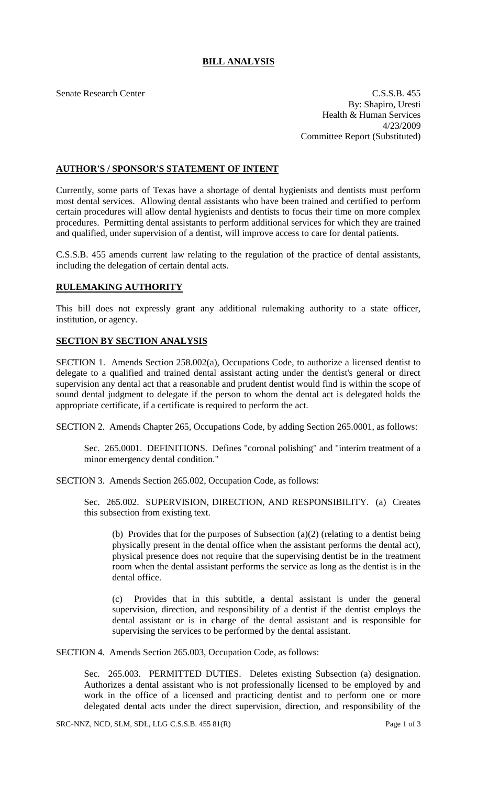## **BILL ANALYSIS**

Senate Research Center C.S.S.B. 455 By: Shapiro, Uresti Health & Human Services 4/23/2009 Committee Report (Substituted)

## **AUTHOR'S / SPONSOR'S STATEMENT OF INTENT**

Currently, some parts of Texas have a shortage of dental hygienists and dentists must perform most dental services. Allowing dental assistants who have been trained and certified to perform certain procedures will allow dental hygienists and dentists to focus their time on more complex procedures. Permitting dental assistants to perform additional services for which they are trained and qualified, under supervision of a dentist, will improve access to care for dental patients.

C.S.S.B. 455 amends current law relating to the regulation of the practice of dental assistants, including the delegation of certain dental acts.

## **RULEMAKING AUTHORITY**

This bill does not expressly grant any additional rulemaking authority to a state officer, institution, or agency.

## **SECTION BY SECTION ANALYSIS**

SECTION 1. Amends Section 258.002(a), Occupations Code, to authorize a licensed dentist to delegate to a qualified and trained dental assistant acting under the dentist's general or direct supervision any dental act that a reasonable and prudent dentist would find is within the scope of sound dental judgment to delegate if the person to whom the dental act is delegated holds the appropriate certificate, if a certificate is required to perform the act.

SECTION 2. Amends Chapter 265, Occupations Code, by adding Section 265.0001, as follows:

Sec. 265.0001. DEFINITIONS. Defines "coronal polishing" and "interim treatment of a minor emergency dental condition."

SECTION 3. Amends Section 265.002, Occupation Code, as follows:

Sec. 265.002. SUPERVISION, DIRECTION, AND RESPONSIBILITY. (a) Creates this subsection from existing text.

(b) Provides that for the purposes of Subsection (a)(2) (relating to a dentist being physically present in the dental office when the assistant performs the dental act), physical presence does not require that the supervising dentist be in the treatment room when the dental assistant performs the service as long as the dentist is in the dental office.

(c) Provides that in this subtitle, a dental assistant is under the general supervision, direction, and responsibility of a dentist if the dentist employs the dental assistant or is in charge of the dental assistant and is responsible for supervising the services to be performed by the dental assistant.

SECTION 4. Amends Section 265.003, Occupation Code, as follows:

Sec. 265.003. PERMITTED DUTIES. Deletes existing Subsection (a) designation. Authorizes a dental assistant who is not professionally licensed to be employed by and work in the office of a licensed and practicing dentist and to perform one or more delegated dental acts under the direct supervision, direction, and responsibility of the

SRC-NNZ, NCD, SLM, SDL, LLG C.S.S.B. 455 81(R) Page 1 of 3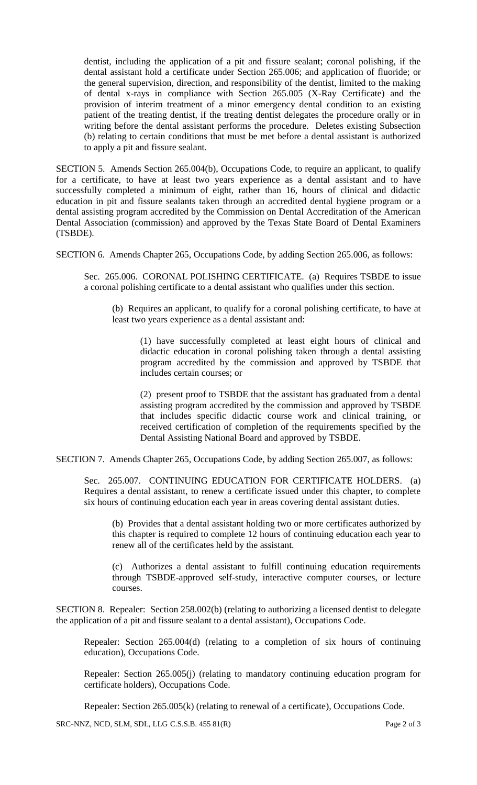dentist, including the application of a pit and fissure sealant; coronal polishing, if the dental assistant hold a certificate under Section 265.006; and application of fluoride; or the general supervision, direction, and responsibility of the dentist, limited to the making of dental x-rays in compliance with Section 265.005 (X-Ray Certificate) and the provision of interim treatment of a minor emergency dental condition to an existing patient of the treating dentist, if the treating dentist delegates the procedure orally or in writing before the dental assistant performs the procedure. Deletes existing Subsection (b) relating to certain conditions that must be met before a dental assistant is authorized to apply a pit and fissure sealant.

SECTION 5. Amends Section 265.004(b), Occupations Code, to require an applicant, to qualify for a certificate, to have at least two years experience as a dental assistant and to have successfully completed a minimum of eight, rather than 16, hours of clinical and didactic education in pit and fissure sealants taken through an accredited dental hygiene program or a dental assisting program accredited by the Commission on Dental Accreditation of the American Dental Association (commission) and approved by the Texas State Board of Dental Examiners (TSBDE).

SECTION 6. Amends Chapter 265, Occupations Code, by adding Section 265.006, as follows:

Sec. 265.006. CORONAL POLISHING CERTIFICATE. (a) Requires TSBDE to issue a coronal polishing certificate to a dental assistant who qualifies under this section.

(b) Requires an applicant, to qualify for a coronal polishing certificate, to have at least two years experience as a dental assistant and:

(1) have successfully completed at least eight hours of clinical and didactic education in coronal polishing taken through a dental assisting program accredited by the commission and approved by TSBDE that includes certain courses; or

(2) present proof to TSBDE that the assistant has graduated from a dental assisting program accredited by the commission and approved by TSBDE that includes specific didactic course work and clinical training, or received certification of completion of the requirements specified by the Dental Assisting National Board and approved by TSBDE.

SECTION 7. Amends Chapter 265, Occupations Code, by adding Section 265.007, as follows:

Sec. 265.007. CONTINUING EDUCATION FOR CERTIFICATE HOLDERS. (a) Requires a dental assistant, to renew a certificate issued under this chapter, to complete six hours of continuing education each year in areas covering dental assistant duties.

(b) Provides that a dental assistant holding two or more certificates authorized by this chapter is required to complete 12 hours of continuing education each year to renew all of the certificates held by the assistant.

(c) Authorizes a dental assistant to fulfill continuing education requirements through TSBDE-approved self-study, interactive computer courses, or lecture courses.

SECTION 8. Repealer: Section 258.002(b) (relating to authorizing a licensed dentist to delegate the application of a pit and fissure sealant to a dental assistant), Occupations Code.

Repealer: Section 265.004(d) (relating to a completion of six hours of continuing education), Occupations Code.

Repealer: Section 265.005(j) (relating to mandatory continuing education program for certificate holders), Occupations Code.

Repealer: Section 265.005(k) (relating to renewal of a certificate), Occupations Code.